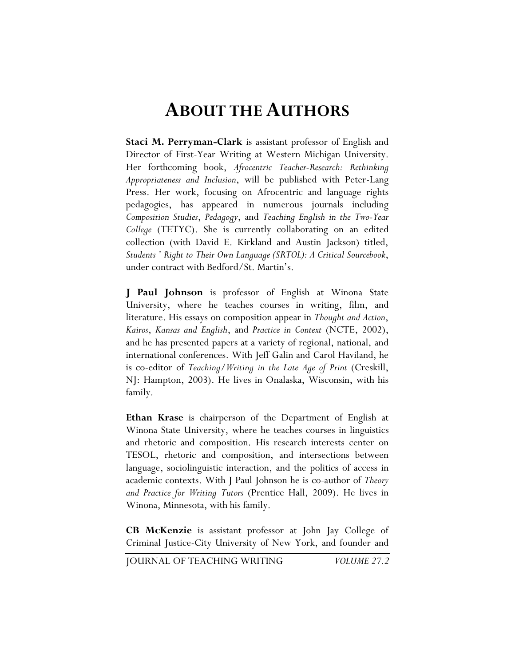## **ABOUT THE AUTHORS**

**Staci M. Perryman-Clark** is assistant professor of English and Director of First-Year Writing at Western Michigan University. Her forthcoming book, *Afrocentric Teacher-Research: Rethinking Appropriateness and Inclusion*, will be published with Peter-Lang Press. Her work, focusing on Afrocentric and language rights pedagogies, has appeared in numerous journals including *Composition Studies*, *Pedagogy*, and *Teaching English in the Two-Year College* (TETYC). She is currently collaborating on an edited collection (with David E. Kirkland and Austin Jackson) titled, *Students ' Right to Their Own Language (SRTOL): A Critical Sourcebook*, under contract with Bedford/St. Martin's.

**J Paul Johnson** is professor of English at Winona State University, where he teaches courses in writing, film, and literature. His essays on composition appear in *Thought and Action*, *Kairos*, *Kansas and English*, and *Practice in Context* (NCTE, 2002), and he has presented papers at a variety of regional, national, and international conferences. With Jeff Galin and Carol Haviland, he is co-editor of *Teaching/Writing in the Late Age of Print* (Creskill, NJ: Hampton, 2003). He lives in Onalaska, Wisconsin, with his family.

**Ethan Krase** is chairperson of the Department of English at Winona State University, where he teaches courses in linguistics and rhetoric and composition. His research interests center on TESOL, rhetoric and composition, and intersections between language, sociolinguistic interaction, and the politics of access in academic contexts. With J Paul Johnson he is co-author of *Theory and Practice for Writing Tutors* (Prentice Hall, 2009). He lives in Winona, Minnesota, with his family.

**CB McKenzie** is assistant professor at John Jay College of Criminal Justice-City University of New York, and founder and

JOURNAL OF TEACHING WRITING *VOLUME 27.2*